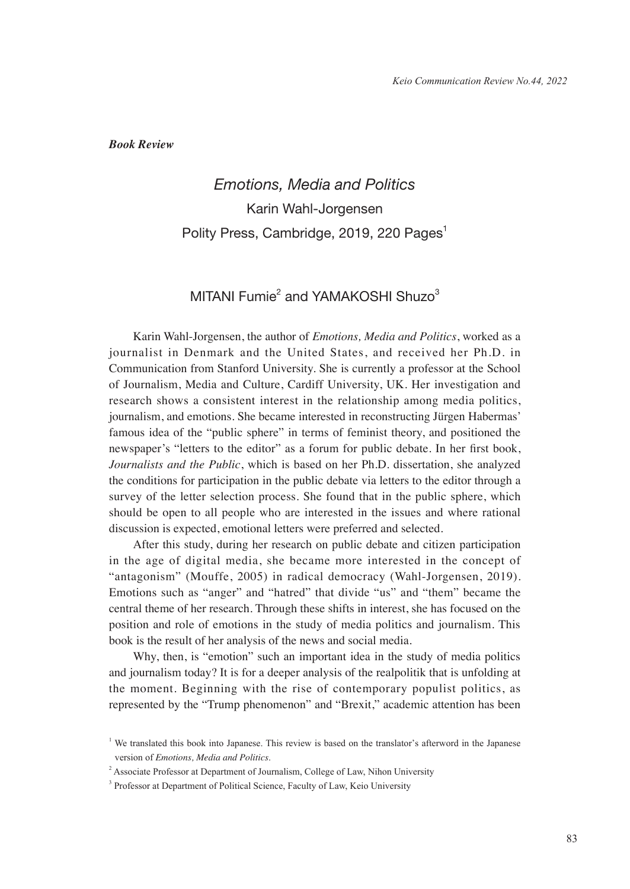*Book Review*

## *Emotions, Media and Politics* Karin Wahl-Jorgensen Polity Press, Cambridge, 2019, 220 Pages<sup>1</sup>

## MITANI Fumie<sup>2</sup> and YAMAKOSHI Shuzo<sup>3</sup>

Karin Wahl-Jorgensen, the author of *Emotions, Media and Politics*, worked as a journalist in Denmark and the United States, and received her Ph.D. in Communication from Stanford University. She is currently a professor at the School of Journalism, Media and Culture, Cardiff University, UK. Her investigation and research shows a consistent interest in the relationship among media politics, journalism, and emotions. She became interested in reconstructing Jürgen Habermas' famous idea of the "public sphere" in terms of feminist theory, and positioned the newspaper's "letters to the editor" as a forum for public debate. In her first book, *Journalists and the Public*, which is based on her Ph.D. dissertation, she analyzed the conditions for participation in the public debate via letters to the editor through a survey of the letter selection process. She found that in the public sphere, which should be open to all people who are interested in the issues and where rational discussion is expected, emotional letters were preferred and selected.

After this study, during her research on public debate and citizen participation in the age of digital media, she became more interested in the concept of "antagonism" (Mouffe, 2005) in radical democracy (Wahl-Jorgensen, 2019). Emotions such as "anger" and "hatred" that divide "us" and "them" became the central theme of her research. Through these shifts in interest, she has focused on the position and role of emotions in the study of media politics and journalism. This book is the result of her analysis of the news and social media.

Why, then, is "emotion" such an important idea in the study of media politics and journalism today? It is for a deeper analysis of the realpolitik that is unfolding at the moment. Beginning with the rise of contemporary populist politics, as represented by the "Trump phenomenon" and "Brexit," academic attention has been

<sup>&</sup>lt;sup>1</sup> We translated this book into Japanese. This review is based on the translator's afterword in the Japanese version of *Emotions, Media and Politics*.

<sup>&</sup>lt;sup>2</sup> Associate Professor at Department of Journalism, College of Law, Nihon University

<sup>&</sup>lt;sup>3</sup> Professor at Department of Political Science, Faculty of Law, Keio University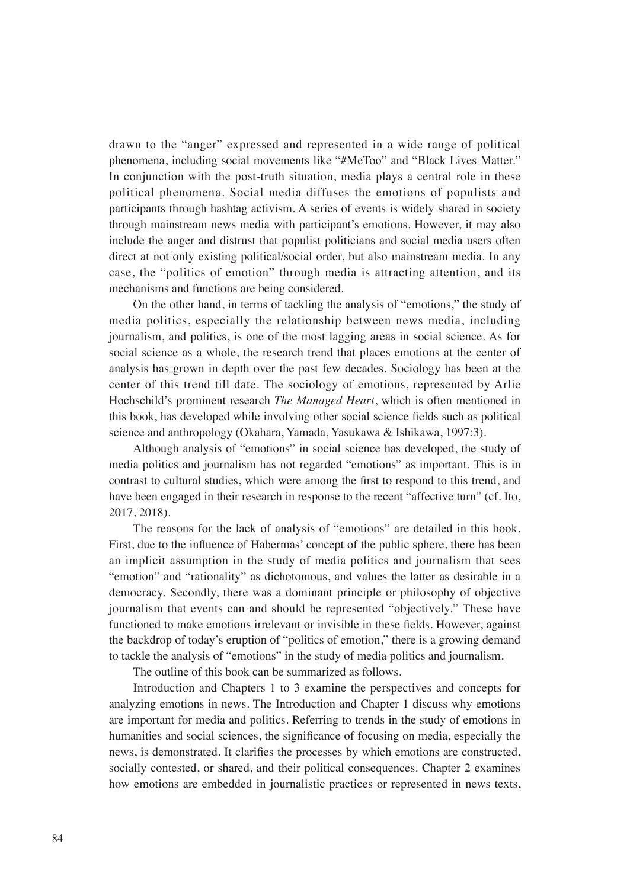drawn to the "anger" expressed and represented in a wide range of political phenomena, including social movements like "#MeToo" and "Black Lives Matter." In conjunction with the post-truth situation, media plays a central role in these political phenomena. Social media diffuses the emotions of populists and participants through hashtag activism. A series of events is widely shared in society through mainstream news media with participant's emotions. However, it may also include the anger and distrust that populist politicians and social media users often direct at not only existing political/social order, but also mainstream media. In any case, the "politics of emotion" through media is attracting attention, and its mechanisms and functions are being considered.

On the other hand, in terms of tackling the analysis of "emotions," the study of media politics, especially the relationship between news media, including journalism, and politics, is one of the most lagging areas in social science. As for social science as a whole, the research trend that places emotions at the center of analysis has grown in depth over the past few decades. Sociology has been at the center of this trend till date. The sociology of emotions, represented by Arlie Hochschild's prominent research *The Managed Heart*, which is often mentioned in this book, has developed while involving other social science fields such as political science and anthropology (Okahara, Yamada, Yasukawa & Ishikawa, 1997:3).

Although analysis of "emotions" in social science has developed, the study of media politics and journalism has not regarded "emotions" as important. This is in contrast to cultural studies, which were among the first to respond to this trend, and have been engaged in their research in response to the recent "affective turn" (cf. Ito, 2017, 2018).

The reasons for the lack of analysis of "emotions" are detailed in this book. First, due to the influence of Habermas' concept of the public sphere, there has been an implicit assumption in the study of media politics and journalism that sees "emotion" and "rationality" as dichotomous, and values the latter as desirable in a democracy. Secondly, there was a dominant principle or philosophy of objective journalism that events can and should be represented "objectively." These have functioned to make emotions irrelevant or invisible in these fields. However, against the backdrop of today's eruption of "politics of emotion," there is a growing demand to tackle the analysis of "emotions" in the study of media politics and journalism.

The outline of this book can be summarized as follows.

Introduction and Chapters 1 to 3 examine the perspectives and concepts for analyzing emotions in news. The Introduction and Chapter 1 discuss why emotions are important for media and politics. Referring to trends in the study of emotions in humanities and social sciences, the significance of focusing on media, especially the news, is demonstrated. It clarifies the processes by which emotions are constructed, socially contested, or shared, and their political consequences. Chapter 2 examines how emotions are embedded in journalistic practices or represented in news texts,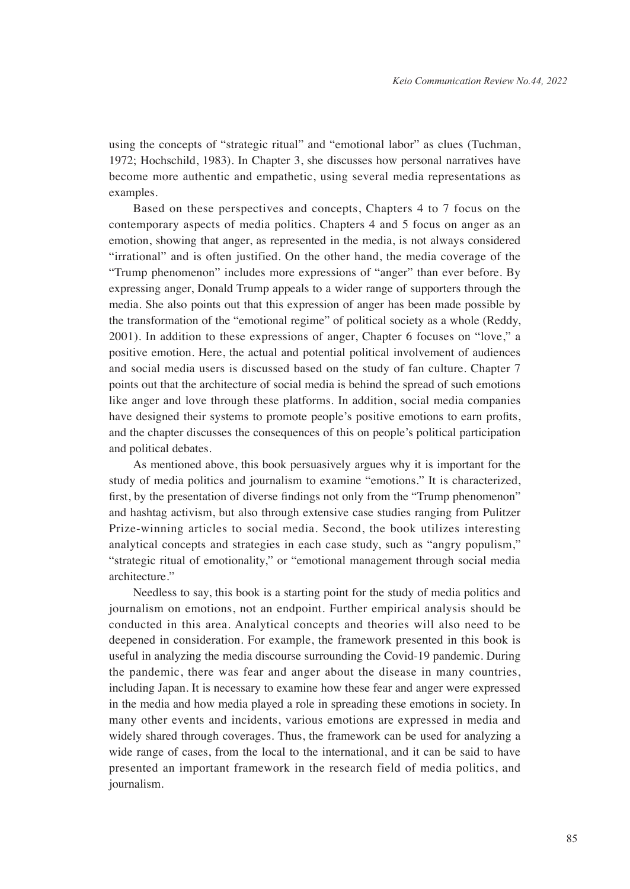using the concepts of "strategic ritual" and "emotional labor" as clues (Tuchman, 1972; Hochschild, 1983). In Chapter 3, she discusses how personal narratives have become more authentic and empathetic, using several media representations as examples.

Based on these perspectives and concepts, Chapters 4 to 7 focus on the contemporary aspects of media politics. Chapters 4 and 5 focus on anger as an emotion, showing that anger, as represented in the media, is not always considered "irrational" and is often justified. On the other hand, the media coverage of the "Trump phenomenon" includes more expressions of "anger" than ever before. By expressing anger, Donald Trump appeals to a wider range of supporters through the media. She also points out that this expression of anger has been made possible by the transformation of the "emotional regime" of political society as a whole (Reddy, 2001). In addition to these expressions of anger, Chapter 6 focuses on "love," a positive emotion. Here, the actual and potential political involvement of audiences and social media users is discussed based on the study of fan culture. Chapter 7 points out that the architecture of social media is behind the spread of such emotions like anger and love through these platforms. In addition, social media companies have designed their systems to promote people's positive emotions to earn profits, and the chapter discusses the consequences of this on people's political participation and political debates.

As mentioned above, this book persuasively argues why it is important for the study of media politics and journalism to examine "emotions." It is characterized, first, by the presentation of diverse findings not only from the "Trump phenomenon" and hashtag activism, but also through extensive case studies ranging from Pulitzer Prize-winning articles to social media. Second, the book utilizes interesting analytical concepts and strategies in each case study, such as "angry populism," "strategic ritual of emotionality," or "emotional management through social media architecture."

Needless to say, this book is a starting point for the study of media politics and journalism on emotions, not an endpoint. Further empirical analysis should be conducted in this area. Analytical concepts and theories will also need to be deepened in consideration. For example, the framework presented in this book is useful in analyzing the media discourse surrounding the Covid-19 pandemic. During the pandemic, there was fear and anger about the disease in many countries, including Japan. It is necessary to examine how these fear and anger were expressed in the media and how media played a role in spreading these emotions in society. In many other events and incidents, various emotions are expressed in media and widely shared through coverages. Thus, the framework can be used for analyzing a wide range of cases, from the local to the international, and it can be said to have presented an important framework in the research field of media politics, and journalism.